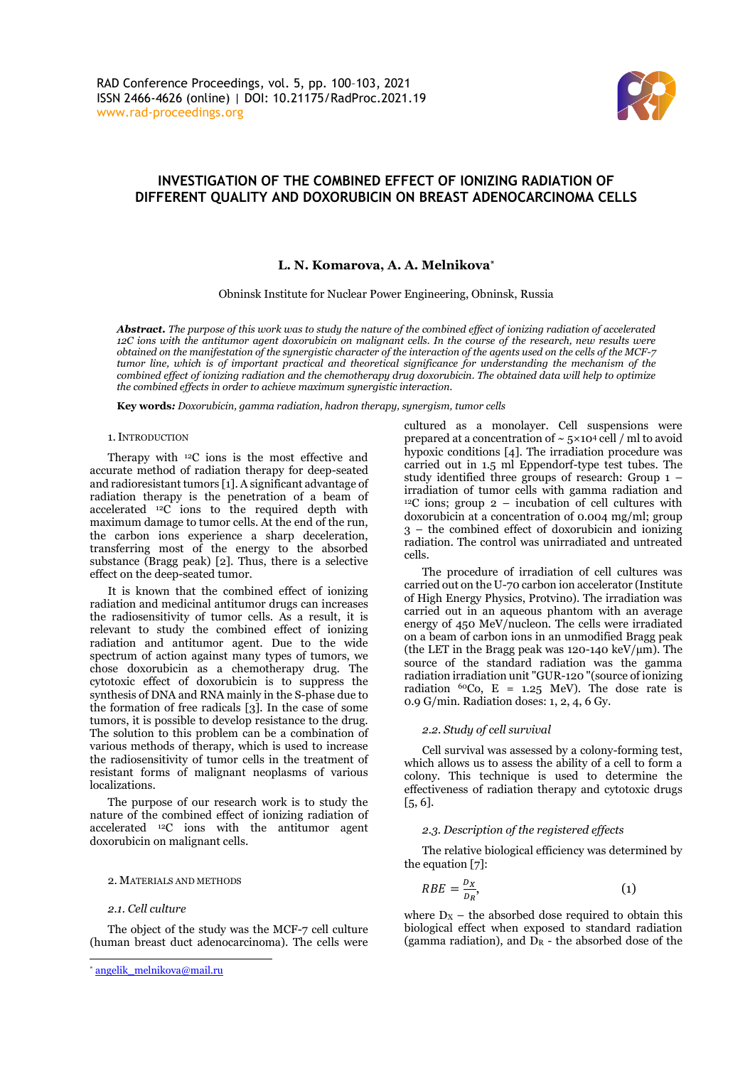

# **INVESTIGATION OF THE COMBINED EFFECT OF IONIZING RADIATION OF DIFFERENT QUALITY AND DOXORUBICIN ON BREAST ADENOCARCINOMA CELLS**

# **L. N. Komarova, A. A. Melnikova\***

Obninsk Institute for Nuclear Power Engineering, Obninsk, Russia

*Abstract. The purpose of this work was to study the nature of the combined effect of ionizing radiation of accelerated 12C ions with the antitumor agent doxorubicin on malignant cells. In the course of the research, new results were obtained on the manifestation of the synergistic character of the interaction of the agents used on the cells of the MCF-7 tumor line, which is of important practical and theoretical significance for understanding the mechanism of the combined effect of ionizing radiation and the chemotherapy drug doxorubicin. The obtained data will help to optimize the combined effects in order to achieve maximum synergistic interaction.*

**Key words***: Doxorubicin, gamma radiation, hadron therapy, synergism, tumor cells*

## 1.INTRODUCTION

Therapy with <sup>12</sup>C ions is the most effective and accurate method of radiation therapy for deep-seated and radioresistant tumors [1]. A significant advantage of radiation therapy is the penetration of a beam of accelerated  $^{12}C$  ions to the required depth with maximum damage to tumor cells. At the end of the run, the carbon ions experience a sharp deceleration, transferring most of the energy to the absorbed substance (Bragg peak) [2]. Thus, there is a selective effect on the deep-seated tumor.

It is known that the combined effect of ionizing radiation and medicinal antitumor drugs can increases the radiosensitivity of tumor cells. As a result, it is relevant to study the combined effect of ionizing radiation and antitumor agent. Due to the wide spectrum of action against many types of tumors, we chose doxorubicin as a chemotherapy drug. The cytotoxic effect of doxorubicin is to suppress the synthesis of DNA and RNA mainly in the S-phase due to the formation of free radicals [3]. In the case of some tumors, it is possible to develop resistance to the drug. The solution to this problem can be a combination of various methods of therapy, which is used to increase the radiosensitivity of tumor cells in the treatment of resistant forms of malignant neoplasms of various localizations.

The purpose of our research work is to study the nature of the combined effect of ionizing radiation of accelerated <sup>12</sup>C ions with the antitumor agent doxorubicin on malignant cells.

#### 2. MATERIALS AND METHODS

# *2.1. Cell culture*

The object of the study was the MCF-7 cell culture (human breast duct adenocarcinoma). The cells were cultured as a monolayer. Cell suspensions were prepared at a concentration of  $\sim 5 \times 10^4$  cell / ml to avoid hypoxic conditions [4]. The irradiation procedure was carried out in 1.5 ml Eppendorf-type test tubes. The study identified three groups of research: Group 1 – irradiation of tumor cells with gamma radiation and  $12^{\circ}$ C ions; group 2 – incubation of cell cultures with doxorubicin at a concentration of 0.004 mg/ml; group 3 – the combined effect of doxorubicin and ionizing radiation. The control was unirradiated and untreated cells.

The procedure of irradiation of cell cultures was carried out on the U-70 carbon ion accelerator (Institute of High Energy Physics, Protvino). The irradiation was carried out in an aqueous phantom with an average energy of 450 MeV/nucleon. The cells were irradiated on a beam of carbon ions in an unmodified Bragg peak (the LET in the Bragg peak was 120-140 keV/ $\mu$ m). The source of the standard radiation was the gamma radiation irradiation unit "GUR-120 "(source of ionizing radiation  ${}^{60}Co$ , E = 1.25 MeV). The dose rate is 0.9 G/min. Radiation doses: 1, 2, 4, 6 Gy.

# *2.2. Study of cell survival*

Cell survival was assessed by a colony-forming test, which allows us to assess the ability of a cell to form a colony. This technique is used to determine the effectiveness of radiation therapy and cytotoxic drugs [5, 6].

#### *2.3. Description of the registered effects*

The relative biological efficiency was determined by the equation [7]:

$$
RBE = \frac{D_X}{D_R},\tag{1}
$$

where  $D_X$  – the absorbed dose required to obtain this biological effect when exposed to standard radiation (gamma radiation), and  $D_R$  - the absorbed dose of the

<sup>\*</sup> [angelik\\_melnikova@mail.ru](mailto:angelik_melnikova@mail.ru)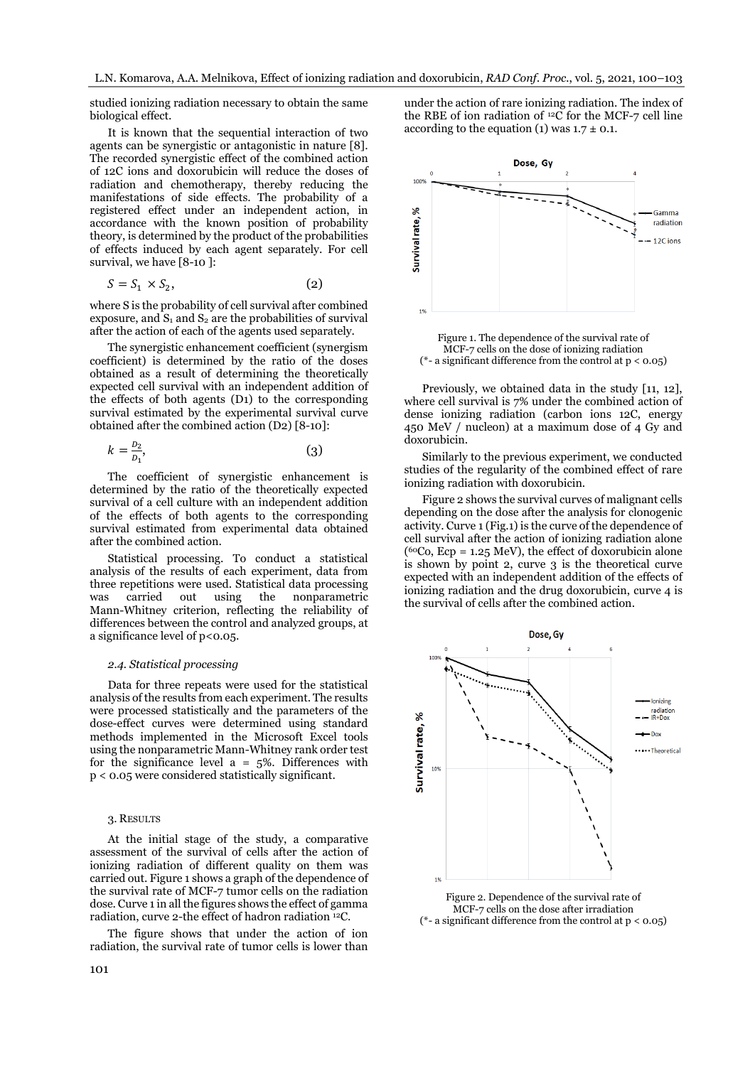studied ionizing radiation necessary to obtain the same biological effect.

It is known that the sequential interaction of two agents can be synergistic or antagonistic in nature [8]. The recorded synergistic effect of the combined action of 12C ions and doxorubicin will reduce the doses of radiation and chemotherapy, thereby reducing the manifestations of side effects. The probability of a registered effect under an independent action, in accordance with the known position of probability theory, is determined by the product of the probabilities of effects induced by each agent separately. For cell survival, we have [8-10 ]:

$$
S = S_1 \times S_2,\tag{2}
$$

where S is the probability of cell survival after combined exposure, and  $S_1$  and  $S_2$  are the probabilities of survival after the action of each of the agents used separately.

The synergistic enhancement coefficient (synergism coefficient) is determined by the ratio of the doses obtained as a result of determining the theoretically expected cell survival with an independent addition of the effects of both agents (D1) to the corresponding survival estimated by the experimental survival curve obtained after the combined action (D2) [8-10]:

$$
k = \frac{D_2}{D_1},\tag{3}
$$

The coefficient of synergistic enhancement is determined by the ratio of the theoretically expected survival of a cell culture with an independent addition of the effects of both agents to the corresponding survival estimated from experimental data obtained after the combined action.

Statistical processing. To conduct a statistical analysis of the results of each experiment, data from three repetitions were used. Statistical data processing was carried out using the nonparametric Mann-Whitney criterion, reflecting the reliability of differences between the control and analyzed groups, at a significance level of p<0.05.

#### *2.4. Statistical processing*

Data for three repeats were used for the statistical analysis of the results from each experiment. The results were processed statistically and the parameters of the dose-effect curves were determined using standard methods implemented in the Miсrosoft Exсel tools using the nonparametric Mann-Whitney rank order test for the significance level  $a = 5\%$ . Differences with р < 0.05 were considered statistically significant.

#### 3. RESULTS

At the initial stage of the study, a comparative assessment of the survival of cells after the action of ionizing radiation of different quality on them was carried out. Figure 1 shows a graph of the dependence of the survival rate of MCF-7 tumor cells on the radiation dose. Curve 1 in all the figures shows the effect of gamma radiation, curve 2-the effect of hadron radiation <sup>12</sup>C.

The figure shows that under the action of ion radiation, the survival rate of tumor cells is lower than under the action of rare ionizing radiation. The index of the RBE of ion radiation of  $^{12}$ C for the MCF-7 cell line according to the equation (1) was  $1.7 \pm 0.1$ .



Figure 1. The dependence of the survival rate of MCF-7 cells on the dose of ionizing radiation ( $*$ - a significant difference from the control at  $p < 0.05$ )

Previously, we obtained data in the study [11, 12], where cell survival is 7% under the combined action of dense ionizing radiation (carbon ions 12C, energy 450 MeV / nucleon) at a maximum dose of 4 Gy and doxorubicin.

Similarly to the previous experiment, we conducted studies of the regularity of the combined effect of rare ionizing radiation with doxorubicin.

Figure 2 shows the survival curves of malignant cells depending on the dose after the analysis for clonogenic activity. Curve 1 (Fig.1) is the curve of the dependence of cell survival after the action of ionizing radiation alone  $(^{60}Co, Ecp = 1.25$  MeV), the effect of doxorubicin alone is shown by point 2, curve 3 is the theoretical curve expected with an independent addition of the effects of ionizing radiation and the drug doxorubicin, curve 4 is the survival of cells after the combined action.



MCF-7 cells on the dose after irradiation (\*- a significant difference from the control at  $p < 0.05$ )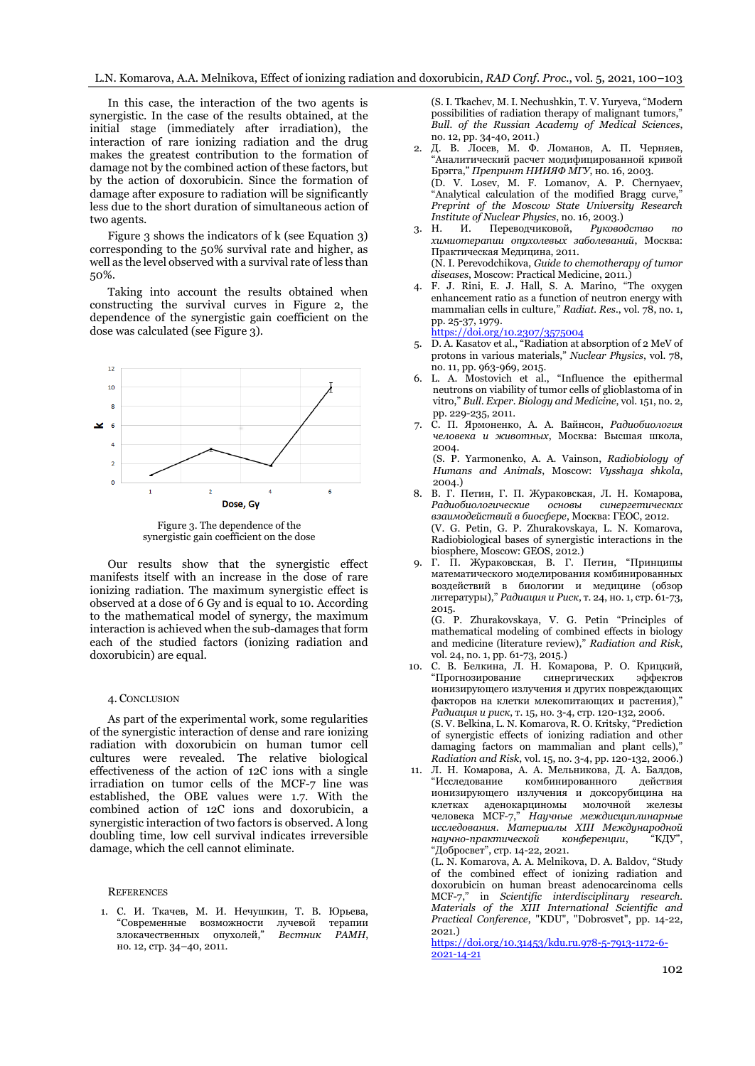In this case, the interaction of the two agents is synergistic. In the case of the results obtained, at the initial stage (immediately after irradiation), the interaction of rare ionizing radiation and the drug makes the greatest contribution to the formation of damage not by the combined action of these factors, but by the action of doxorubicin. Since the formation of damage after exposure to radiation will be significantly less due to the short duration of simultaneous action of two agents.

Figure 3 shows the indicators of k (see Equation 3) corresponding to the 50% survival rate and higher, as well as the level observed with a survival rate of less than 50%.

Taking into account the results obtained when constructing the survival curves in Figure 2, the dependence of the synergistic gain coefficient on the dose was calculated (see Figure 3).



Figure 3. The dependence of the synergistic gain coefficient on the dose

Our results show that the synergistic effect manifests itself with an increase in the dose of rare ionizing radiation. The maximum synergistic effect is observed at a dose of 6 Gy and is equal to 10. According to the mathematical model of synergy, the maximum interaction is achieved when the sub-damages that form each of the studied factors (ionizing radiation and doxorubicin) are equal.

#### 4. CONCLUSION

As part of the experimental work, some regularities of the synergistic interaction of dense and rare ionizing radiation with doxorubicin on human tumor cell cultures were revealed. The relative biological effectiveness of the action of 12C ions with a single irradiation on tumor cells of the MCF-7 line was established, the OBE values were 1.7. With the combined action of 12C ions and doxorubicin, a synergistic interaction of two factors is observed. A long doubling time, low cell survival indicates irreversible damage, which the cell cannot eliminate.

## **REFERENCES**

1. С. И. Ткачев, М. И. Нечушкин, Т. В. Юрьева, "Современные возможности лучевой терапии<br>злокачественных опухолей," *Вестник РАМН*, злокачественных опухолей," но. 12, cтр. 34–40, 2011.

(S. I. Tkachev, M. I. Nechushkin, T. V. Yuryeva, "Modern possibilities of radiation therapy of malignant tumors, *Bull. of the Russian Academy of Medical Sciences*, no. 12, pp. 34-40, 2011.)

- 2. Д. В. Лосев, М. Ф. Ломанов, А. П. Черняев, "Аналитический расчет модифицированной кривой Брэгга," *Препринт НИИЯФ МГУ*, но. 16, 2003. (D. V. Losev, M. F. Lomanov, A. P. Chernyaev, "Analytical calculation of the modified Bragg curve, *Preprint of the Moscow State University Research Institute of Nuclear Physics*, no. 16, 2003.)
- 3. Н. И. Переводчиковой, *Руководство по химиотерапии опухолевых заболеваний*, Москва: Практическая Медицина, 2011. (N. I. Perevodchikova, *Guide to chemotherapy of tumor*
- *diseases*, Moscow: Practical Medicine, 2011.) 4. F. J. Rini, E. J. Hall, S. A. Marino, "The oxygen enhancement ratio as a function of neutron energy with mammalian cells in culture," *Radiat. Res.*, vol. 78, no. 1, pp. 25-37, 1979.

<https://doi.org/10.2307/3575004>

- 5. D. A. Kasatov et al., "Radiation at absorption of 2 MeV of protons in various materials," *Nuclear Physics*, vol. 78, no. 11, pp. 963-969, 2015.
- 6. L. A. Mostovich et al., "Influence the epithermal neutrons on viability of tumor cells of glioblastoma of in vitro," *Bull. Exper. Biology and Medicine*, vol. 151, no. 2, pp. 229-235, 2011.
- 7. С. П. Ярмоненко, А. А. Вайнсон, *Радиобиология человека и животных*, Москва: Высшая школа, 2004.

(S. P. Yarmonenko, A. A. Vainson, *Radiobiology of Humans and Animals*, Moscow: *Vysshaya shkola*, 2004.)

- 8. В. Г. Петин, Г. П. Жураковская, Л. Н. Комарова, *Радиобиологические основы синергетических взаимодействий в биосфере*, Москва: ГЕОС, 2012. (V. G. Petin, G. P. Zhurakovskaya, L. N. Komarova, Radiobiological bases of synergistic interactions in the biosphere, Moscow: GEOS, 2012.)
- 9. Г. П. Жураковская, В. Г. Петин, "Принципы математического моделирования комбинированных воздействий в биологии и медицине (обзор литературы)," *Радиация и Риск*, т. 24, но. 1, стр. 61-73, 2015.

(G. P. Zhurakovskaya, V. G. Petin "Principles of mathematical modeling of combined effects in biology and medicine (literature review)," *Radiation and Risk*, vol. 24, no. 1, pp. 61-73, 2015.)

- 10. С. В. Белкина, Л. Н. Комарова, Р. О. Крицкий, "Прогнозирование синергических эффектов ионизирующего излучения и других повреждающих факторов на клетки млекопитающих и растения)," *Радиация и риск*, т. 15, но. 3-4, стр. 120-132, 2006. (S. V. Belkina, L. N. Komarova, R. O. Kritsky, "Prediction of synergistic effects of ionizing radiation and other damaging factors on mammalian and plant cells)," *Radiation and Risk*, vol. 15, no. 3-4, pp. 120-132, 2006.)
- 11. Л. Н. Комарова, А. А. Мельникова, Д. А. Балдов, "Исследование комбинированного ионизирующего излучения и доксорубицина на клетках аденокарциномы молочной железы человека MCF-7," *Научные междисциплинарные исследования*. *Материалы XIII Международной научно-практической конференции*, "КДУ", "Добросвет", стр. 14-22, 2021.

(L. N. Komarova, A. A. Melnikova, D. A. Baldov, "Study of the combined effect of ionizing radiation and doxorubicin on human breast adenocarcinoma cells MCF-7," in *Scientific interdisciplinary research. Materials of the XIII International Scientific and Practical Conference*, "KDU", "Dobrosvet", pp. 14-22, 2021.)

[https://doi.org/10.31453/kdu.ru.978-5-7913-1172-6-](https://doi.org/10.31453/kdu.ru.978-5-7913-1172-6-2021-14-21) [2021-14-21](https://doi.org/10.31453/kdu.ru.978-5-7913-1172-6-2021-14-21)